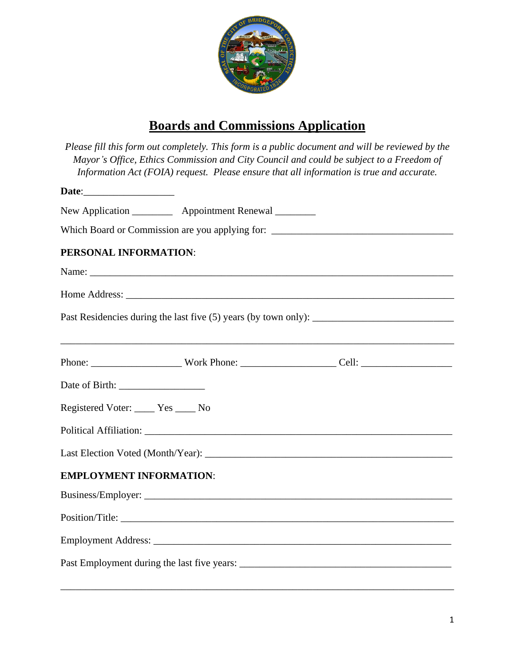

## **Boards and Commissions Application**

|                                      |                                                            | Please fill this form out completely. This form is a public document and will be reviewed by the<br>Mayor's Office, Ethics Commission and City Council and could be subject to a Freedom of<br>Information Act (FOIA) request. Please ensure that all information is true and accurate. |
|--------------------------------------|------------------------------------------------------------|-----------------------------------------------------------------------------------------------------------------------------------------------------------------------------------------------------------------------------------------------------------------------------------------|
| Date: <u>Date:</u>                   |                                                            |                                                                                                                                                                                                                                                                                         |
|                                      | New Application ____________ Appointment Renewal _________ |                                                                                                                                                                                                                                                                                         |
|                                      |                                                            | Which Board or Commission are you applying for: _________________________________                                                                                                                                                                                                       |
| PERSONAL INFORMATION:                |                                                            |                                                                                                                                                                                                                                                                                         |
|                                      |                                                            |                                                                                                                                                                                                                                                                                         |
|                                      |                                                            |                                                                                                                                                                                                                                                                                         |
|                                      |                                                            |                                                                                                                                                                                                                                                                                         |
|                                      |                                                            |                                                                                                                                                                                                                                                                                         |
|                                      |                                                            |                                                                                                                                                                                                                                                                                         |
| Registered Voter: _____ Yes _____ No |                                                            |                                                                                                                                                                                                                                                                                         |
|                                      |                                                            |                                                                                                                                                                                                                                                                                         |
|                                      |                                                            |                                                                                                                                                                                                                                                                                         |
| <b>EMPLOYMENT INFORMATION:</b>       |                                                            |                                                                                                                                                                                                                                                                                         |
|                                      |                                                            |                                                                                                                                                                                                                                                                                         |
|                                      |                                                            |                                                                                                                                                                                                                                                                                         |
|                                      |                                                            |                                                                                                                                                                                                                                                                                         |
|                                      |                                                            |                                                                                                                                                                                                                                                                                         |

\_\_\_\_\_\_\_\_\_\_\_\_\_\_\_\_\_\_\_\_\_\_\_\_\_\_\_\_\_\_\_\_\_\_\_\_\_\_\_\_\_\_\_\_\_\_\_\_\_\_\_\_\_\_\_\_\_\_\_\_\_\_\_\_\_\_\_\_\_\_\_\_\_\_\_\_\_\_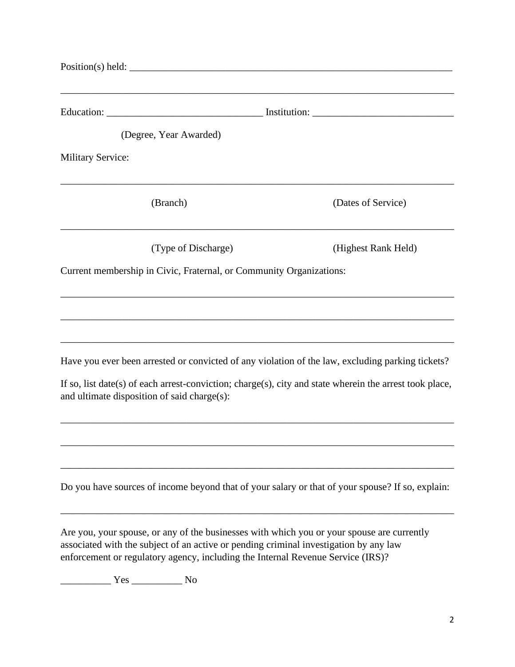| (Degree, Year Awarded)                                                                                                                                                                                                                                                 |                     |
|------------------------------------------------------------------------------------------------------------------------------------------------------------------------------------------------------------------------------------------------------------------------|---------------------|
| <b>Military Service:</b>                                                                                                                                                                                                                                               |                     |
| (Branch)                                                                                                                                                                                                                                                               | (Dates of Service)  |
| (Type of Discharge)                                                                                                                                                                                                                                                    | (Highest Rank Held) |
| Current membership in Civic, Fraternal, or Community Organizations:                                                                                                                                                                                                    |                     |
|                                                                                                                                                                                                                                                                        |                     |
|                                                                                                                                                                                                                                                                        |                     |
| Have you ever been arrested or convicted of any violation of the law, excluding parking tickets?                                                                                                                                                                       |                     |
| If so, list date(s) of each arrest-conviction; charge(s), city and state wherein the arrest took place,<br>and ultimate disposition of said charge(s):                                                                                                                 |                     |
|                                                                                                                                                                                                                                                                        |                     |
|                                                                                                                                                                                                                                                                        |                     |
| Do you have sources of income beyond that of your salary or that of your spouse? If so, explain:                                                                                                                                                                       |                     |
| Are you, your spouse, or any of the businesses with which you or your spouse are currently<br>associated with the subject of an active or pending criminal investigation by any law<br>enforcement or regulatory agency, including the Internal Revenue Service (IRS)? |                     |

\_\_\_\_\_\_\_\_\_\_ Yes \_\_\_\_\_\_\_\_\_\_ No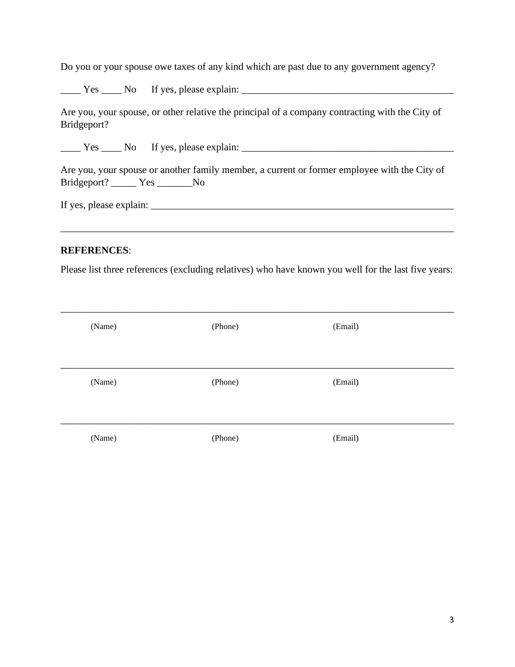Do you or your spouse owe taxes of any kind which are past due to any government agency?

 $\frac{1}{2}$  Yes  $\frac{1}{2}$  No If yes, please explain:  $\frac{1}{2}$  No If yes, and  $\frac{1}{2}$  No If yes, and  $\frac{1}{2}$  No If yes, and  $\frac{1}{2}$  No If yes, and  $\frac{1}{2}$  No If yes, and  $\frac{1}{2}$  No If yes, and  $\frac{1}{2}$  No If yes,

Are you, your spouse, or other relative the principal of a company contracting with the City of Bridgeport?

 $Yes$   $\qquad$  No If yes, please explain:  $\qquad \qquad$ 

Are you, your spouse or another family member, a current or former employee with the City of Bridgeport? \_\_\_\_\_ Yes \_\_\_\_\_\_\_No

If yes, please explain: \_\_\_\_\_\_\_\_\_\_\_\_\_\_\_\_\_\_\_\_\_\_\_\_\_\_\_\_\_\_\_\_\_\_\_\_\_\_\_\_\_\_\_\_\_\_\_\_\_\_\_\_\_\_\_\_\_\_\_\_

## **REFERENCES**:

Please list three references (excluding relatives) who have known you well for the last five years:

\_\_\_\_\_\_\_\_\_\_\_\_\_\_\_\_\_\_\_\_\_\_\_\_\_\_\_\_\_\_\_\_\_\_\_\_\_\_\_\_\_\_\_\_\_\_\_\_\_\_\_\_\_\_\_\_\_\_\_\_\_\_\_\_\_\_\_\_\_\_\_\_\_\_\_\_\_\_

| (Name) | (Phone) | (Email) |  |
|--------|---------|---------|--|
| (Name) | (Phone) | (Email) |  |
| (Name) | (Phone) | (Email) |  |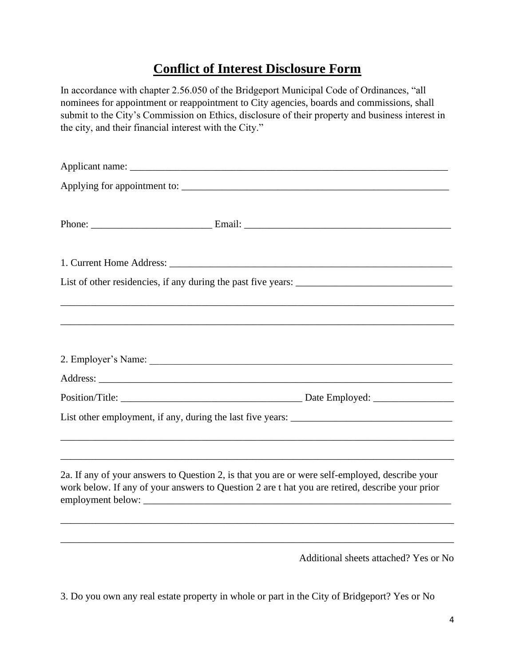## **Conflict of Interest Disclosure Form**

In accordance with chapter 2.56.050 of the Bridgeport Municipal Code of Ordinances, "all nominees for appointment or reappointment to City agencies, boards and commissions, shall submit to the City's Commission on Ethics, disclosure of their property and business interest in the city, and their financial interest with the City."

|  | 2. Employer's Name:                                                                                                                                                                               |
|--|---------------------------------------------------------------------------------------------------------------------------------------------------------------------------------------------------|
|  |                                                                                                                                                                                                   |
|  |                                                                                                                                                                                                   |
|  |                                                                                                                                                                                                   |
|  |                                                                                                                                                                                                   |
|  | 2a. If any of your answers to Question 2, is that you are or were self-employed, describe your<br>work below. If any of your answers to Question 2 are t hat you are retired, describe your prior |
|  |                                                                                                                                                                                                   |
|  | Additional sheets attached? Yes or No                                                                                                                                                             |

3. Do you own any real estate property in whole or part in the City of Bridgeport? Yes or No